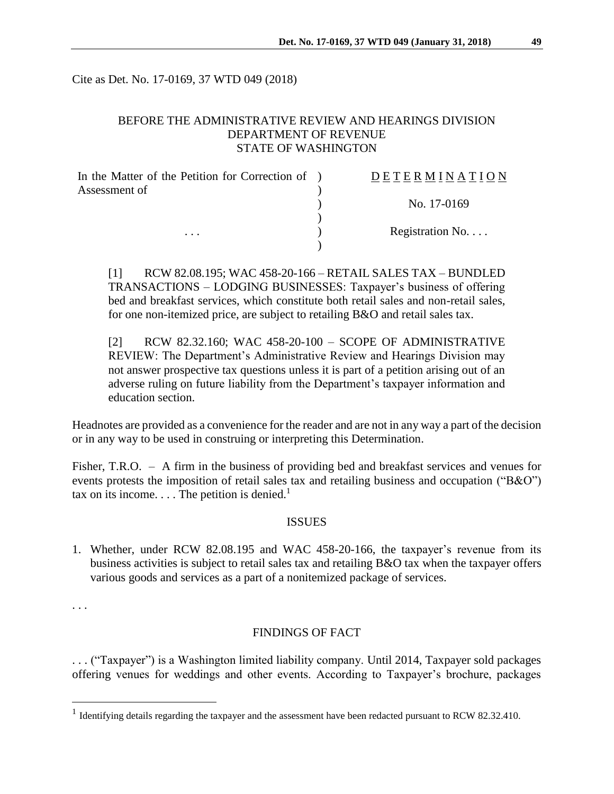Cite as Det. No. 17-0169, 37 WTD 049 (2018)

# BEFORE THE ADMINISTRATIVE REVIEW AND HEARINGS DIVISION DEPARTMENT OF REVENUE STATE OF WASHINGTON

| In the Matter of the Petition for Correction of ) | DETERMINATION   |
|---------------------------------------------------|-----------------|
| Assessment of                                     |                 |
|                                                   | No. 17-0169     |
|                                                   |                 |
| $\cdot$                                           | Registration No |
|                                                   |                 |

[1] RCW 82.08.195; WAC 458-20-166 – RETAIL SALES TAX – BUNDLED TRANSACTIONS – LODGING BUSINESSES: Taxpayer's business of offering bed and breakfast services, which constitute both retail sales and non-retail sales, for one non-itemized price, are subject to retailing B&O and retail sales tax.

[2] RCW 82.32.160; WAC 458-20-100 – SCOPE OF ADMINISTRATIVE REVIEW: The Department's Administrative Review and Hearings Division may not answer prospective tax questions unless it is part of a petition arising out of an adverse ruling on future liability from the Department's taxpayer information and education section.

Headnotes are provided as a convenience for the reader and are not in any way a part of the decision or in any way to be used in construing or interpreting this Determination.

Fisher, T.R.O. – A firm in the business of providing bed and breakfast services and venues for events protests the imposition of retail sales tax and retailing business and occupation ("B&O") tax on its income.  $\dots$  The petition is denied.<sup>1</sup>

#### **ISSUES**

1. Whether, under RCW 82.08.195 and WAC 458-20-166, the taxpayer's revenue from its business activities is subject to retail sales tax and retailing B&O tax when the taxpayer offers various goods and services as a part of a nonitemized package of services.

. . .

 $\overline{a}$ 

#### FINDINGS OF FACT

. . . ("Taxpayer") is a Washington limited liability company. Until 2014, Taxpayer sold packages offering venues for weddings and other events. According to Taxpayer's brochure, packages

<sup>&</sup>lt;sup>1</sup> Identifying details regarding the taxpayer and the assessment have been redacted pursuant to RCW 82.32.410.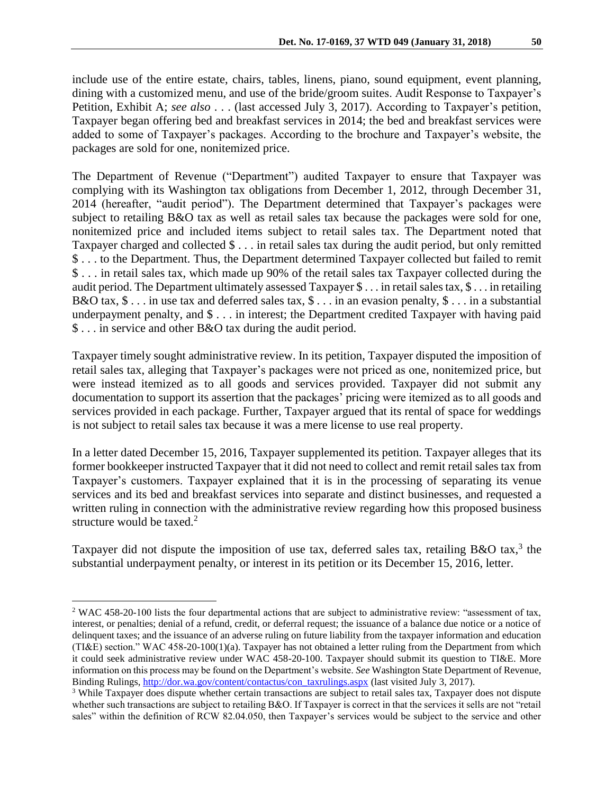include use of the entire estate, chairs, tables, linens, piano, sound equipment, event planning, dining with a customized menu, and use of the bride/groom suites. Audit Response to Taxpayer's Petition, Exhibit A; *see also* . . . (last accessed July 3, 2017). According to Taxpayer's petition, Taxpayer began offering bed and breakfast services in 2014; the bed and breakfast services were added to some of Taxpayer's packages. According to the brochure and Taxpayer's website, the packages are sold for one, nonitemized price.

The Department of Revenue ("Department") audited Taxpayer to ensure that Taxpayer was complying with its Washington tax obligations from December 1, 2012, through December 31, 2014 (hereafter, "audit period"). The Department determined that Taxpayer's packages were subject to retailing B&O tax as well as retail sales tax because the packages were sold for one, nonitemized price and included items subject to retail sales tax. The Department noted that Taxpayer charged and collected \$ . . . in retail sales tax during the audit period, but only remitted \$ . . . to the Department. Thus, the Department determined Taxpayer collected but failed to remit \$ . . . in retail sales tax, which made up 90% of the retail sales tax Taxpayer collected during the audit period. The Department ultimately assessed Taxpayer \$ . . . in retail sales tax, \$ . . . in retailing B&O tax,  $\$\dots$  in use tax and deferred sales tax,  $\$\dots$  in an evasion penalty,  $\$\dots$  in a substantial underpayment penalty, and \$ . . . in interest; the Department credited Taxpayer with having paid \$ . . . in service and other B&O tax during the audit period.

Taxpayer timely sought administrative review. In its petition, Taxpayer disputed the imposition of retail sales tax, alleging that Taxpayer's packages were not priced as one, nonitemized price, but were instead itemized as to all goods and services provided. Taxpayer did not submit any documentation to support its assertion that the packages' pricing were itemized as to all goods and services provided in each package. Further, Taxpayer argued that its rental of space for weddings is not subject to retail sales tax because it was a mere license to use real property.

In a letter dated December 15, 2016, Taxpayer supplemented its petition. Taxpayer alleges that its former bookkeeper instructed Taxpayer that it did not need to collect and remit retail sales tax from Taxpayer's customers. Taxpayer explained that it is in the processing of separating its venue services and its bed and breakfast services into separate and distinct businesses, and requested a written ruling in connection with the administrative review regarding how this proposed business structure would be taxed.<sup>2</sup>

Taxpayer did not dispute the imposition of use tax, deferred sales tax, retailing B&O tax,<sup>3</sup> the substantial underpayment penalty, or interest in its petition or its December 15, 2016, letter.

 $\overline{a}$ 

<sup>2</sup> WAC 458-20-100 lists the four departmental actions that are subject to administrative review: "assessment of tax, interest, or penalties; denial of a refund, credit, or deferral request; the issuance of a balance due notice or a notice of delinquent taxes; and the issuance of an adverse ruling on future liability from the taxpayer information and education (TI&E) section." WAC 458-20-100(1)(a). Taxpayer has not obtained a letter ruling from the Department from which it could seek administrative review under WAC 458-20-100. Taxpayer should submit its question to TI&E. More information on this process may be found on the Department's website. *See* Washington State Department of Revenue, Binding Rulings, [http://dor.wa.gov/content/contactus/con\\_taxrulings.aspx](http://dor.wa.gov/content/contactus/con_taxrulings.aspx) (last visited July 3, 2017).

<sup>&</sup>lt;sup>3</sup> While Taxpayer does dispute whether certain transactions are subject to retail sales tax, Taxpayer does not dispute whether such transactions are subject to retailing B&O. If Taxpayer is correct in that the services it sells are not "retail sales" within the definition of RCW 82.04.050, then Taxpayer's services would be subject to the service and other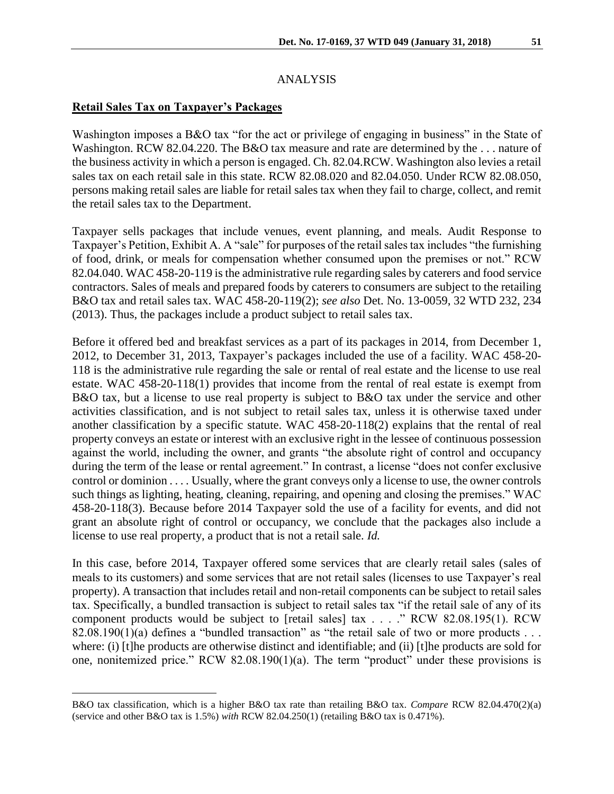## ANALYSIS

## **Retail Sales Tax on Taxpayer's Packages**

 $\overline{a}$ 

Washington imposes a B&O tax "for the act or privilege of engaging in business" in the State of Washington. RCW 82.04.220. The B&O tax measure and rate are determined by the . . . nature of the business activity in which a person is engaged. Ch. 82.04.RCW. Washington also levies a retail sales tax on each retail sale in this state. RCW 82.08.020 and 82.04.050. Under RCW 82.08.050, persons making retail sales are liable for retail sales tax when they fail to charge, collect, and remit the retail sales tax to the Department.

Taxpayer sells packages that include venues, event planning, and meals. Audit Response to Taxpayer's Petition, Exhibit A. A "sale" for purposes of the retail sales tax includes "the furnishing of food, drink, or meals for compensation whether consumed upon the premises or not." RCW 82.04.040. WAC 458-20-119 is the administrative rule regarding sales by caterers and food service contractors. Sales of meals and prepared foods by caterers to consumers are subject to the retailing B&O tax and retail sales tax. WAC 458-20-119(2); *see also* Det. No. 13-0059, 32 WTD 232, 234 (2013). Thus, the packages include a product subject to retail sales tax.

Before it offered bed and breakfast services as a part of its packages in 2014, from December 1, 2012, to December 31, 2013, Taxpayer's packages included the use of a facility. WAC 458-20- 118 is the administrative rule regarding the sale or rental of real estate and the license to use real estate. WAC 458-20-118(1) provides that income from the rental of real estate is exempt from B&O tax, but a license to use real property is subject to B&O tax under the service and other activities classification, and is not subject to retail sales tax, unless it is otherwise taxed under another classification by a specific statute. WAC 458-20-118(2) explains that the rental of real property conveys an estate or interest with an exclusive right in the lessee of continuous possession against the world, including the owner, and grants "the absolute right of control and occupancy during the term of the lease or rental agreement." In contrast, a license "does not confer exclusive control or dominion . . . . Usually, where the grant conveys only a license to use, the owner controls such things as lighting, heating, cleaning, repairing, and opening and closing the premises." WAC 458-20-118(3). Because before 2014 Taxpayer sold the use of a facility for events, and did not grant an absolute right of control or occupancy, we conclude that the packages also include a license to use real property, a product that is not a retail sale. *Id.*

In this case, before 2014, Taxpayer offered some services that are clearly retail sales (sales of meals to its customers) and some services that are not retail sales (licenses to use Taxpayer's real property). A transaction that includes retail and non-retail components can be subject to retail sales tax. Specifically, a bundled transaction is subject to retail sales tax "if the retail sale of any of its component products would be subject to [retail sales] tax . . . ." RCW 82.08.195(1). RCW 82.08.190(1)(a) defines a "bundled transaction" as "the retail sale of two or more products . . . where: (i) [t]he products are otherwise distinct and identifiable; and (ii) [t]he products are sold for one, nonitemized price." RCW 82.08.190(1)(a). The term "product" under these provisions is

B&O tax classification, which is a higher B&O tax rate than retailing B&O tax. *Compare* RCW 82.04.470(2)(a) (service and other B&O tax is 1.5%) *with* RCW 82.04.250(1) (retailing B&O tax is 0.471%).